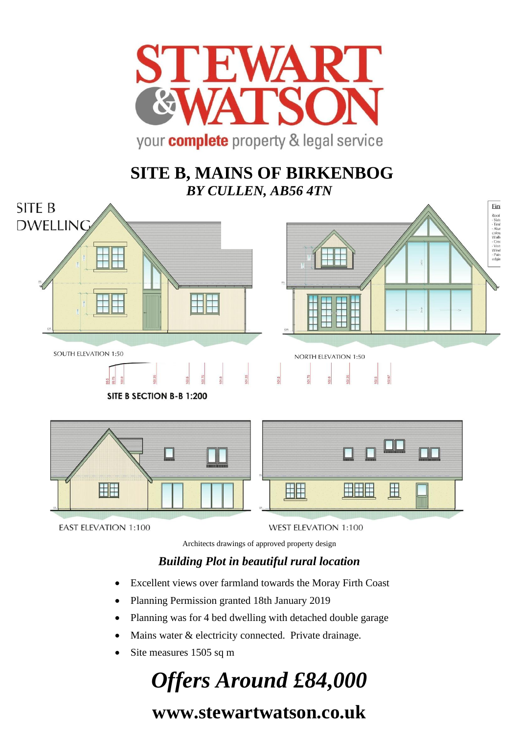

## **SITE B, MAINS OF BIRKENBOG** *BY CULLEN, AB56 4TN*



**EAST ELEVATION 1:100** 

**WEST ELEVATION 1:100** 

Architects drawings of approved property design

### *Building Plot in beautiful rural location*

- Excellent views over farmland towards the Moray Firth Coast
- Planning Permission granted 18th January 2019
- Planning was for 4 bed dwelling with detached double garage
- Mains water & electricity connected. Private drainage.
- Site measures 1505 sq m

# *Offers Around £84,000*

# **www.stewartwatson.co.uk**